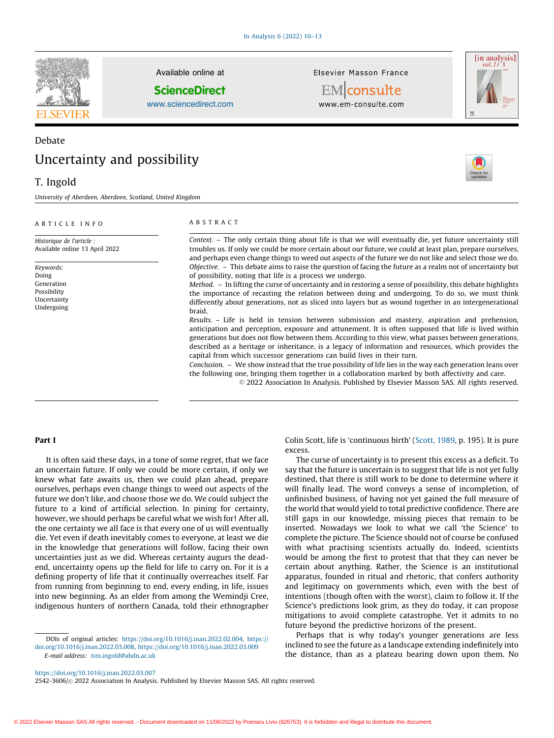

Available online at

### **ScienceDirect**

[www.sciencedirect.com](http://www.sciencedirect.com/science/journal/25423606)

Elsevier Masson France



EMconsulte www.em-consulte.com



# Uncertainty and possibility

## T. Ingold

Debate

University of Aberdeen, Aberdeen, Scotland, United Kingdom

#### A R T I C L E I N F O

Historique de l'article : Available online 13 April 2022

Keywords: Doing Generation Possibility **Uncertainty** Undergoing

#### A B S T R A C T

Context. – The only certain thing about life is that we will eventually die, yet future uncertainty still troubles us. If only we could be more certain about our future, we could at least plan, prepare ourselves, and perhaps even change things to weed out aspects of the future we do not like and select those we do. Objective. – This debate aims to raise the question of facing the future as a realm not of uncertainty but of possibility, noting that life is a process we undergo.

Method. – In lifting the curse of uncertainty and in restoring a sense of possibility, this debate highlights the importance of recasting the relation between doing and undergoing. To do so, we must think differently about generations, not as sliced into layers but as wound together in an intergenerational braid.

Results. – Life is held in tension between submission and mastery, aspiration and prehension, anticipation and perception, exposure and attunement. It is often supposed that life is lived within generations but does not flow between them. According to this view, what passes between generations, described as a heritage or inheritance, is a legacy of information and resources, which provides the capital from which successor generations can build lives in their turn.

Conclusion. – We show instead that the true possibility of life lies in the way each generation leans over the following one, bringing them together in a collaboration marked by both affectivity and care.

© 2022 Association In Analysis. Published by Elsevier Masson SAS. All rights reserved.

#### Part I

It is often said these days, in a tone of some regret, that we face an uncertain future. If only we could be more certain, if only we knew what fate awaits us, then we could plan ahead, prepare ourselves, perhaps even change things to weed out aspects of the future we don't like, and choose those we do. We could subject the future to a kind of artificial selection. In pining for certainty, however, we should perhaps be careful what we wish for! After all, the one certainty we all face is that every one of us will eventually die. Yet even if death inevitably comes to everyone, at least we die in the knowledge that generations will follow, facing their own uncertainties just as we did. Whereas certainty augurs the deadend, uncertainty opens up the field for life to carry on. For it is a defining property of life that it continually overreaches itself. Far from running from beginning to end, every ending, in life, issues into new beginning. As an elder from among the Wemindji Cree, indigenous hunters of northern Canada, told their ethnographer

DOIs of original articles: [https://doi.org/10.1016/j.inan.2022.02.004,](https://doi.org/10.1016/j.inan.2022.02.004) [https://](https://doi.org/10.1016/j.inan.2022.03.008) [doi.org/10.1016/j.inan.2022.03.008,](https://doi.org/10.1016/j.inan.2022.03.008) <https://doi.org/10.1016/j.inan.2022.03.009> E-mail address: [tim.ingold@abdn.ac.uk](mailto:tim.ingold@abdn.ac.uk)

Colin Scott, life is 'continuous birth' ([Scott,](#page-3-0) 1989, p. 195). It is pure excess.

The curse of uncertainty is to present this excess as a deficit. To say that the future is uncertain is to suggest that life is not yet fully destined, that there is still work to be done to determine where it will finally lead. The word conveys a sense of incompletion, of unfinished business, of having not yet gained the full measure of the world that would yield to total predictive confidence. There are still gaps in our knowledge, missing pieces that remain to be inserted. Nowadays we look to what we call 'the Science' to complete the picture. The Science should not of course be confused with what practising scientists actually do. Indeed, scientists would be among the first to protest that that they can never be certain about anything. Rather, the Science is an institutional apparatus, founded in ritual and rhetoric, that confers authority and legitimacy on governments which, even with the best of intentions (though often with the worst), claim to follow it. If the Science's predictions look grim, as they do today, it can propose mitigations to avoid complete catastrophe. Yet it admits to no future beyond the predictive horizons of the present.

Perhaps that is why today's younger generations are less inclined to see the future as a landscape extending indefinitely into the distance, than as a plateau bearing down upon them. No

2542-3606/© 2022 Association In Analysis. Published by Elsevier Masson SAS. All rights reserved.



<https://doi.org/10.1016/j.inan.2022.03.007>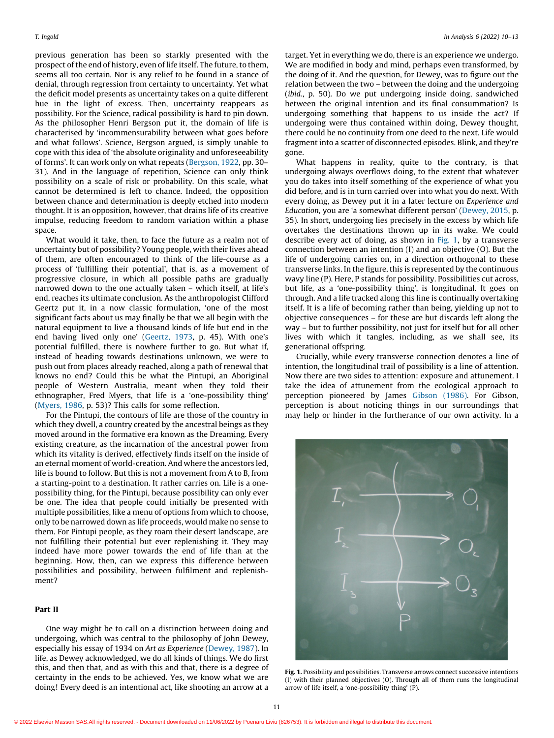previous generation has been so starkly presented with the prospect of the end of history, even of life itself. The future, to them, seems all too certain. Nor is any relief to be found in a stance of denial, through regression from certainty to uncertainty. Yet what the deficit model presents as uncertainty takes on a quite different hue in the light of excess. Then, uncertainty reappears as possibility. For the Science, radical possibility is hard to pin down. As the philosopher Henri Bergson put it, the domain of life is characterised by 'incommensurability between what goes before and what follows'. Science, Bergson argued, is simply unable to cope with this idea of 'the absolute originality and unforeseeability of forms'. It can work only on what repeats [\(Bergson,](#page-3-0) 1922, pp. 30– 31). And in the language of repetition, Science can only think possibility on a scale of risk or probability. On this scale, what cannot be determined is left to chance. Indeed, the opposition between chance and determination is deeply etched into modern thought. It is an opposition, however, that drains life of its creative impulse, reducing freedom to random variation within a phase space.

What would it take, then, to face the future as a realm not of uncertainty but of possibility? Young people, with their lives ahead of them, are often encouraged to think of the life-course as a process of 'fulfilling their potential', that is, as a movement of progressive closure, in which all possible paths are gradually narrowed down to the one actually taken – which itself, at life's end, reaches its ultimate conclusion. As the anthropologist Clifford Geertz put it, in a now classic formulation, 'one of the most significant facts about us may finally be that we all begin with the natural equipment to live a thousand kinds of life but end in the end having lived only one' [\(Geertz,](#page-3-0) 1973, p. 45). With one's potential fulfilled, there is nowhere further to go. But what if, instead of heading towards destinations unknown, we were to push out from places already reached, along a path of renewal that knows no end? Could this be what the Pintupi, an Aboriginal people of Western Australia, meant when they told their ethnographer, Fred Myers, that life is a 'one-possibility thing' ([Myers,](#page-3-0) 1986, p. 53)? This calls for some reflection.

For the Pintupi, the contours of life are those of the country in which they dwell, a country created by the ancestral beings as they moved around in the formative era known as the Dreaming. Every existing creature, as the incarnation of the ancestral power from which its vitality is derived, effectively finds itself on the inside of an eternal moment of world-creation. And where the ancestors led, life is bound to follow. But this is not a movement from A to B, from a starting-point to a destination. It rather carries on. Life is a onepossibility thing, for the Pintupi, because possibility can only ever be one. The idea that people could initially be presented with multiple possibilities, like a menu of options from which to choose, only to be narrowed down as life proceeds, would make no sense to them. For Pintupi people, as they roam their desert landscape, are not fulfilling their potential but ever replenishing it. They may indeed have more power towards the end of life than at the beginning. How, then, can we express this difference between possibilities and possibility, between fulfilment and replenishment?

#### Part II

One way might be to call on a distinction between doing and undergoing, which was central to the philosophy of John Dewey, especially his essay of 1934 on Art as Experience [\(Dewey,](#page-3-0) 1987). In life, as Dewey acknowledged, we do all kinds of things. We do first this, and then that, and as with this and that, there is a degree of certainty in the ends to be achieved. Yes, we know what we are doing! Every deed is an intentional act, like shooting an arrow at a

target. Yet in everything we do, there is an experience we undergo. We are modified in body and mind, perhaps even transformed, by the doing of it. And the question, for Dewey, was to figure out the relation between the two – between the doing and the undergoing (ibid., p. 50). Do we put undergoing inside doing, sandwiched between the original intention and its final consummation? Is undergoing something that happens to us inside the act? If undergoing were thus contained within doing, Dewey thought, there could be no continuity from one deed to the next. Life would fragment into a scatter of disconnected episodes. Blink, and they're gone.

What happens in reality, quite to the contrary, is that undergoing always overflows doing, to the extent that whatever you do takes into itself something of the experience of what you did before, and is in turn carried over into what you do next. With every doing, as Dewey put it in a later lecture on Experience and Education, you are 'a somewhat different person' [\(Dewey,](#page-3-0) 2015, p. 35). In short, undergoing lies precisely in the excess by which life overtakes the destinations thrown up in its wake. We could describe every act of doing, as shown in Fig. 1, by a transverse connection between an intention (I) and an objective (O). But the life of undergoing carries on, in a direction orthogonal to these transverse links. In the figure, this is represented by the continuous wavy line (P). Here, P stands for possibility. Possibilities cut across, but life, as a 'one-possibility thing', is longitudinal. It goes on through. And a life tracked along this line is continually overtaking itself. It is a life of becoming rather than being, yielding up not to objective consequences – for these are but discards left along the way – but to further possibility, not just for itself but for all other lives with which it tangles, including, as we shall see, its generational offspring.

Crucially, while every transverse connection denotes a line of intention, the longitudinal trail of possibility is a line of attention. Now there are two sides to attention: exposure and attunement. I take the idea of attunement from the ecological approach to perception pioneered by James [Gibson](#page-3-0) (1986). For Gibson, perception is about noticing things in our surroundings that may help or hinder in the furtherance of our own activity. In a



Fig. 1. Possibility and possibilities. Transverse arrows connect successive intentions (I) with their planned objectives (O). Through all of them runs the longitudinal arrow of life itself, a 'one-possibility thing' (P).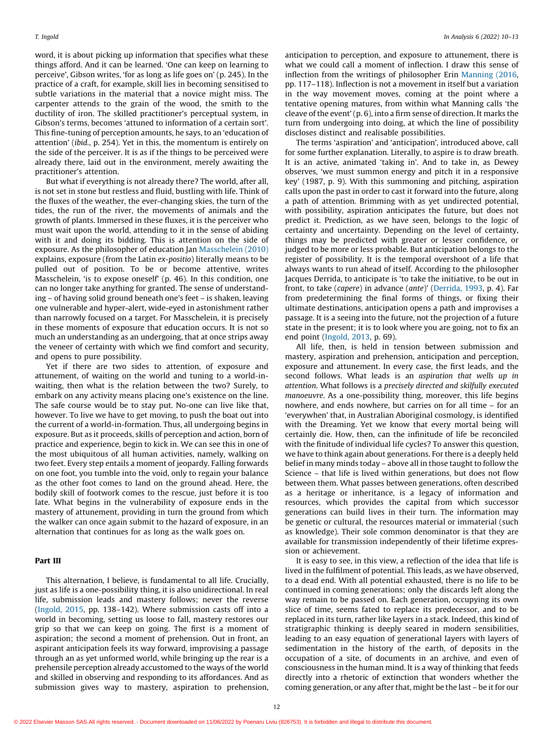word, it is about picking up information that specifies what these things afford. And it can be learned. 'One can keep on learning to perceive', Gibson writes, 'for as long as life goes on' (p. 245). In the practice of a craft, for example, skill lies in becoming sensitised to subtle variations in the material that a novice might miss. The carpenter attends to the grain of the wood, the smith to the ductility of iron. The skilled practitioner's perceptual system, in Gibson's terms, becomes 'attuned to information of a certain sort'. This fine-tuning of perception amounts, he says, to an 'education of attention' (ibid., p. 254). Yet in this, the momentum is entirely on the side of the perceiver. It is as if the things to be perceived were already there, laid out in the environment, merely awaiting the practitioner's attention.

But what if everything is not already there? The world, after all, is not set in stone but restless and fluid, bustling with life. Think of the fluxes of the weather, the ever-changing skies, the turn of the tides, the run of the river, the movements of animals and the growth of plants. Immersed in these fluxes, it is the perceiver who must wait upon the world, attending to it in the sense of abiding with it and doing its bidding. This is attention on the side of exposure. As the philosopher of education Jan [Masschelein](#page-3-0) (2010) explains, exposure (from the Latin ex-positio) literally means to be pulled out of position. To be or become attentive, writes Masschelein, 'is to expose oneself' (p. 46). In this condition, one can no longer take anything for granted. The sense of understanding – of having solid ground beneath one's feet – is shaken, leaving one vulnerable and hyper-alert, wide-eyed in astonishment rather than narrowly focused on a target. For Masschelein, it is precisely in these moments of exposure that education occurs. It is not so much an understanding as an undergoing, that at once strips away the veneer of certainty with which we find comfort and security, and opens to pure possibility.

Yet if there are two sides to attention, of exposure and attunement, of waiting on the world and tuning to a world-inwaiting, then what is the relation between the two? Surely, to embark on any activity means placing one's existence on the line. The safe course would be to stay put. No-one can live like that, however. To live we have to get moving, to push the boat out into the current of a world-in-formation. Thus, all undergoing begins in exposure. But as it proceeds, skills of perception and action, born of practice and experience, begin to kick in. We can see this in one of the most ubiquitous of all human activities, namely, walking on two feet. Every step entails a moment of jeopardy. Falling forwards on one foot, you tumble into the void, only to regain your balance as the other foot comes to land on the ground ahead. Here, the bodily skill of footwork comes to the rescue, just before it is too late. What begins in the vulnerability of exposure ends in the mastery of attunement, providing in turn the ground from which the walker can once again submit to the hazard of exposure, in an alternation that continues for as long as the walk goes on.

#### Part III

This alternation, I believe, is fundamental to all life. Crucially, just as life is a one-possibility thing, it is also unidirectional. In real life, submission leads and mastery follows; never the reverse ([Ingold,](#page-3-0) 2015, pp. 138–142). Where submission casts off into a world in becoming, setting us loose to fall, mastery restores our grip so that we can keep on going. The first is a moment of aspiration; the second a moment of prehension. Out in front, an aspirant anticipation feels its way forward, improvising a passage through an as yet unformed world, while bringing up the rear is a prehensile perception already accustomed to the ways of the world and skilled in observing and responding to its affordances. And as submission gives way to mastery, aspiration to prehension,

anticipation to perception, and exposure to attunement, there is what we could call a moment of inflection. I draw this sense of inflection from the writings of philosopher Erin [Manning](#page-3-0) (2016, pp. 117–118). Inflection is not a movement in itself but a variation in the way movement moves, coming at the point where a tentative opening matures, from within what Manning calls 'the cleave of the event' (p. 6), into a firm sense of direction. It marks the turn from undergoing into doing, at which the line of possibility discloses distinct and realisable possibilities.

The terms 'aspiration' and 'anticipation', introduced above, call for some further explanation. Literally, to aspire is to draw breath. It is an active, animated 'taking in'. And to take in, as Dewey observes, 'we must summon energy and pitch it in a responsive key' (1987, p. 9). With this summoning and pitching, aspiration calls upon the past in order to cast it forward into the future, along a path of attention. Brimming with as yet undirected potential, with possibility, aspiration anticipates the future, but does not predict it. Prediction, as we have seen, belongs to the logic of certainty and uncertainty. Depending on the level of certainty, things may be predicted with greater or lesser confidence, or judged to be more or less probable. But anticipation belongs to the register of possibility. It is the temporal overshoot of a life that always wants to run ahead of itself. According to the philosopher Jacques Derrida, to anticipate is 'to take the initiative, to be out in front, to take (capere) in advance (ante)' [\(Derrida,](#page-3-0) 1993, p. 4). Far from predetermining the final forms of things, or fixing their ultimate destinations, anticipation opens a path and improvises a passage. It is a seeing into the future, not the projection of a future state in the present; it is to look where you are going, not to fix an end point ([Ingold,](#page-3-0) 2013, p. 69).

All life, then, is held in tension between submission and mastery, aspiration and prehension, anticipation and perception, exposure and attunement. In every case, the first leads, and the second follows. What leads is an aspiration that wells up in attention. What follows is a precisely directed and skilfully executed manoeuvre. As a one-possibility thing, moreover, this life begins nowhere, and ends nowhere, but carries on for all time – for an 'everywhen' that, in Australian Aboriginal cosmology, is identified with the Dreaming. Yet we know that every mortal being will certainly die. How, then, can the infinitude of life be reconciled with the finitude of individual life cycles? To answer this question, we have to think again about generations. For there is a deeply held belief in many minds today – above all in those taught to follow the Science – that life is lived within generations, but does not flow between them. What passes between generations, often described as a heritage or inheritance, is a legacy of information and resources, which provides the capital from which successor generations can build lives in their turn. The information may be genetic or cultural, the resources material or immaterial (such as knowledge). Their sole common denominator is that they are available for transmission independently of their lifetime expression or achievement.

It is easy to see, in this view, a reflection of the idea that life is lived in the fulfilment of potential. This leads, as we have observed, to a dead end. With all potential exhausted, there is no life to be continued in coming generations; only the discards left along the way remain to be passed on. Each generation, occupying its own slice of time, seems fated to replace its predecessor, and to be replaced in its turn, rather like layers in a stack. Indeed, this kind of stratigraphic thinking is deeply seared in modern sensibilities, leading to an easy equation of generational layers with layers of sedimentation in the history of the earth, of deposits in the occupation of a site, of documents in an archive, and even of consciousness in the human mind. It is a way of thinking that feeds directly into a rhetoric of extinction that wonders whether the coming generation, or any after that, might be the last – be it for our